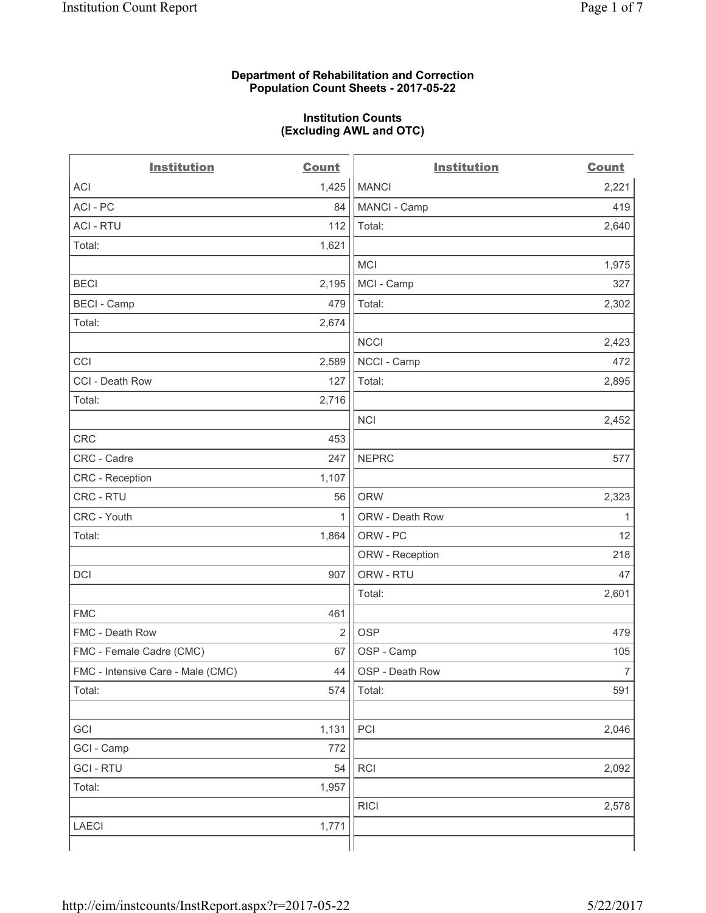## **Department of Rehabilitation and Correction Population Count Sheets - 2017-05-22**

#### **Institution Counts (Excluding AWL and OTC)**

 $-$ 

| <b>Institution</b>                | <b>Count</b> | <b>Institution</b> | <b>Count</b>   |
|-----------------------------------|--------------|--------------------|----------------|
| ACI                               | 1,425        | <b>MANCI</b>       | 2,221          |
| ACI - PC                          | 84           | MANCI - Camp       | 419            |
| <b>ACI - RTU</b>                  | 112          | Total:             | 2,640          |
| Total:                            | 1,621        |                    |                |
|                                   |              | MCI                | 1,975          |
| <b>BECI</b>                       | 2,195        | MCI - Camp         | 327            |
| <b>BECI</b> - Camp                | 479          | Total:             | 2,302          |
| Total:                            | 2,674        |                    |                |
|                                   |              | <b>NCCI</b>        | 2,423          |
| CCI                               | 2,589        | NCCI - Camp        | 472            |
| CCI - Death Row                   | 127          | Total:             | 2,895          |
| Total:                            | 2,716        |                    |                |
|                                   |              | <b>NCI</b>         | 2,452          |
| <b>CRC</b>                        | 453          |                    |                |
| CRC - Cadre                       | 247          | <b>NEPRC</b>       | 577            |
| CRC - Reception                   | 1,107        |                    |                |
| CRC - RTU                         | 56           | <b>ORW</b>         | 2,323          |
| CRC - Youth                       | $\mathbf{1}$ | ORW - Death Row    | 1              |
| Total:                            | 1,864        | ORW - PC           | 12             |
|                                   |              | ORW - Reception    | 218            |
| DCI                               | 907          | ORW - RTU          | 47             |
|                                   |              | Total:             | 2,601          |
| <b>FMC</b>                        | 461          |                    |                |
| FMC - Death Row                   | 2            | <b>OSP</b>         | 479            |
| FMC - Female Cadre (CMC)          | 67           | OSP - Camp         | 105            |
| FMC - Intensive Care - Male (CMC) | 44           | OSP - Death Row    | $\overline{7}$ |
| Total:                            | 574          | Total:             | 591            |
|                                   |              |                    |                |
| GCI                               | 1,131        | PCI                | 2,046          |
| GCI - Camp                        | 772          |                    |                |
| <b>GCI-RTU</b>                    | 54           | RCI                | 2,092          |
| Total:                            | 1,957        |                    |                |
|                                   |              | <b>RICI</b>        | 2,578          |
| LAECI                             | 1,771        |                    |                |
|                                   |              |                    |                |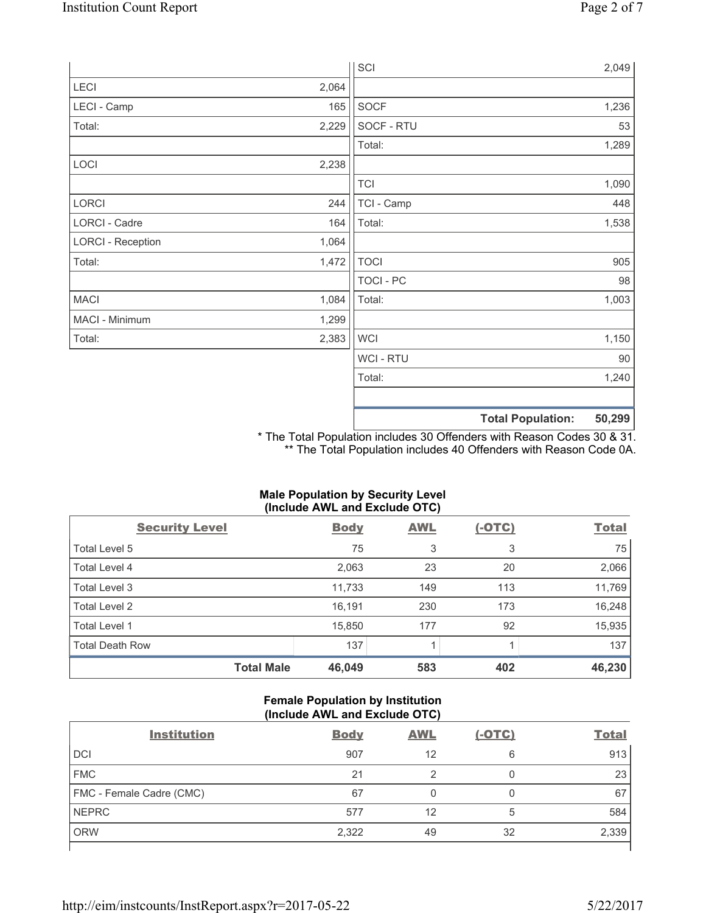|                          |       | SCI              |                          | 2,049  |
|--------------------------|-------|------------------|--------------------------|--------|
| LECI                     | 2,064 |                  |                          |        |
| LECI - Camp              | 165   | SOCF             |                          | 1,236  |
| Total:                   | 2,229 | SOCF - RTU       |                          | 53     |
|                          |       | Total:           |                          | 1,289  |
| LOCI                     | 2,238 |                  |                          |        |
|                          |       | <b>TCI</b>       |                          | 1,090  |
| LORCI                    | 244   | TCI - Camp       |                          | 448    |
| LORCI - Cadre            | 164   | Total:           |                          | 1,538  |
| <b>LORCI - Reception</b> | 1,064 |                  |                          |        |
| Total:                   | 1,472 | <b>TOCI</b>      |                          | 905    |
|                          |       | <b>TOCI - PC</b> |                          | 98     |
| <b>MACI</b>              | 1,084 | Total:           |                          | 1,003  |
| MACI - Minimum           | 1,299 |                  |                          |        |
| Total:                   | 2,383 | <b>WCI</b>       |                          | 1,150  |
|                          |       | <b>WCI-RTU</b>   |                          | $90\,$ |
|                          |       | Total:           |                          | 1,240  |
|                          |       |                  |                          |        |
|                          |       |                  | <b>Total Population:</b> | 50,299 |

\* The Total Population includes 30 Offenders with Reason Codes 30 & 31. \*\* The Total Population includes 40 Offenders with Reason Code 0A.

## **Male Population by Security Level (Include AWL and Exclude OTC)**

| $\mathbf{v}$<br><b>Security Level</b> | <b>Body</b> | . .<br><b>AWL</b> | $(-OTC)$ | <b>Total</b> |
|---------------------------------------|-------------|-------------------|----------|--------------|
| Total Level 5                         | 75          | 3                 | 3        | 75           |
| Total Level 4                         | 2,063       | 23                | 20       | 2,066        |
| Total Level 3                         | 11,733      | 149               | 113      | 11,769       |
| Total Level 2                         | 16,191      | 230               | 173      | 16,248       |
| <b>Total Level 1</b>                  | 15,850      | 177               | 92       | 15,935       |
| <b>Total Death Row</b>                | 137         |                   |          | 137          |
| <b>Total Male</b>                     | 46,049      | 583               | 402      | 46,230       |

## **Female Population by Institution (Include AWL and Exclude OTC)**

| <b>Institution</b>       | <b>Body</b> | <b>AWL</b> | $(-OTC)$ | <b>Total</b> |
|--------------------------|-------------|------------|----------|--------------|
| <b>DCI</b>               | 907         | 12         | 6        | 913          |
| <b>FMC</b>               | 21          |            |          | 23           |
| FMC - Female Cadre (CMC) | 67          |            |          | 67           |
| <b>NEPRC</b>             | 577         | 12         | 5        | 584          |
| <b>ORW</b>               | 2,322       | 49         | 32       | 2,339        |
|                          |             |            |          |              |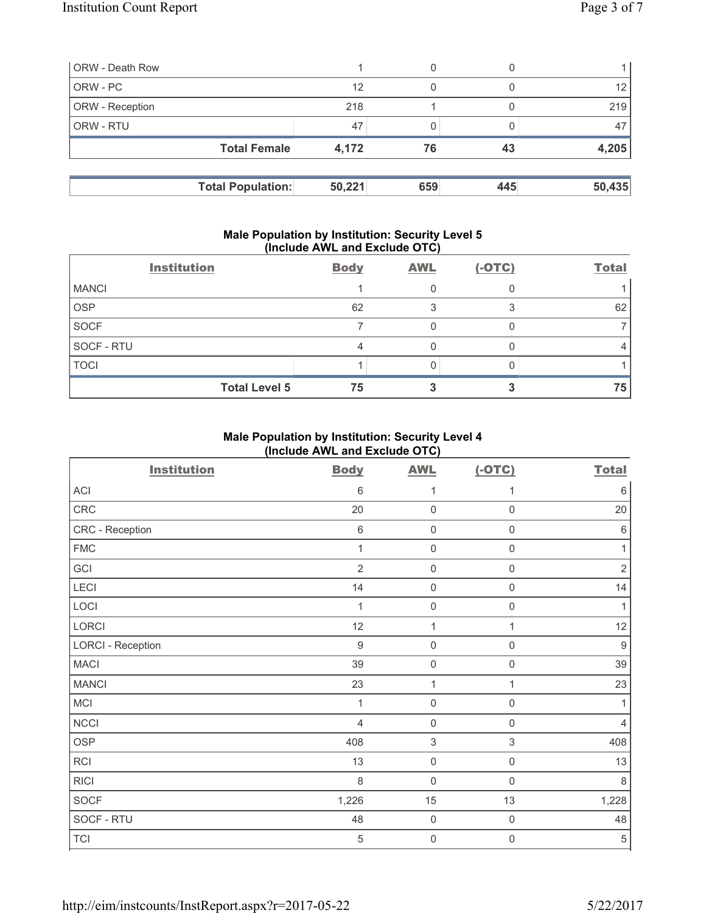| <b>ORW</b> - Death Row   |        | 0   |     |                 |
|--------------------------|--------|-----|-----|-----------------|
| ORW - PC                 | 12     | 0   |     | 12 <sup>°</sup> |
| <b>ORW</b> - Reception   | 218    |     |     | 219             |
| <b>ORW - RTU</b>         | 47     |     |     | 47              |
| <b>Total Female</b>      | 4,172  | 76  | 43  | 4,205           |
|                          |        |     |     |                 |
| <b>Total Population:</b> | 50,221 | 659 | 445 | 50,435          |

### **Male Population by Institution: Security Level 5 (Include AWL and Exclude OTC)**

|              | <b>Institution</b>   | <b>Body</b> | <b>AWL</b> | $(-OTC)$ | <b>Total</b> |
|--------------|----------------------|-------------|------------|----------|--------------|
| <b>MANCI</b> |                      |             |            |          |              |
| <b>OSP</b>   |                      | 62          |            |          | 62           |
| SOCF         |                      |             |            |          |              |
| SOCF - RTU   |                      |             |            |          |              |
| <b>TOCI</b>  |                      |             |            |          |              |
|              | <b>Total Level 5</b> | 75          |            |          | 75           |

# **Male Population by Institution: Security Level 4 (Include AWL and Exclude OTC)**

| <b>Institution</b>       | <b>Body</b>      | <b>AWL</b>          | $(-OTC)$            | <b>Total</b>   |
|--------------------------|------------------|---------------------|---------------------|----------------|
| <b>ACI</b>               | 6                | 1                   | 1                   | $\,6\,$        |
| CRC                      | 20               | $\mathbf 0$         | $\mathsf{O}\xspace$ | 20             |
| CRC - Reception          | $\,6\,$          | $\mathbf 0$         | $\mathsf{O}\xspace$ | $\,6\,$        |
| <b>FMC</b>               | 1                | $\mathsf{O}\xspace$ | $\mathsf 0$         | 1              |
| GCI                      | $\overline{2}$   | $\mathsf 0$         | 0                   | $\sqrt{2}$     |
| LECI                     | 14               | $\mathbf 0$         | $\mathsf{O}\xspace$ | 14             |
| LOCI                     | 1                | $\mathbf 0$         | 0                   | $\mathbf{1}$   |
| LORCI                    | 12               | $\mathbf{1}$        | 1                   | 12             |
| <b>LORCI - Reception</b> | $\boldsymbol{9}$ | $\mathbf 0$         | 0                   | $\overline{9}$ |
| <b>MACI</b>              | 39               | $\mathsf 0$         | $\mathsf 0$         | 39             |
| <b>MANCI</b>             | 23               | $\mathbf{1}$        | 1                   | 23             |
| <b>MCI</b>               | 1                | $\mathbf 0$         | 0                   | 1              |
| <b>NCCI</b>              | $\overline{4}$   | $\mathbf 0$         | $\mathsf 0$         | $\overline{4}$ |
| <b>OSP</b>               | 408              | $\,$ 3 $\,$         | 3                   | 408            |
| RCI                      | 13               | $\mathbf 0$         | $\mathbf 0$         | 13             |
| <b>RICI</b>              | 8                | $\mathbf 0$         | $\mathsf 0$         | 8              |
| <b>SOCF</b>              | 1,226            | 15                  | 13                  | 1,228          |
| SOCF - RTU               | 48               | $\mathsf{O}\xspace$ | $\mathsf{O}\xspace$ | 48             |
| <b>TCI</b>               | 5                | 0                   | 0                   | $\sqrt{5}$     |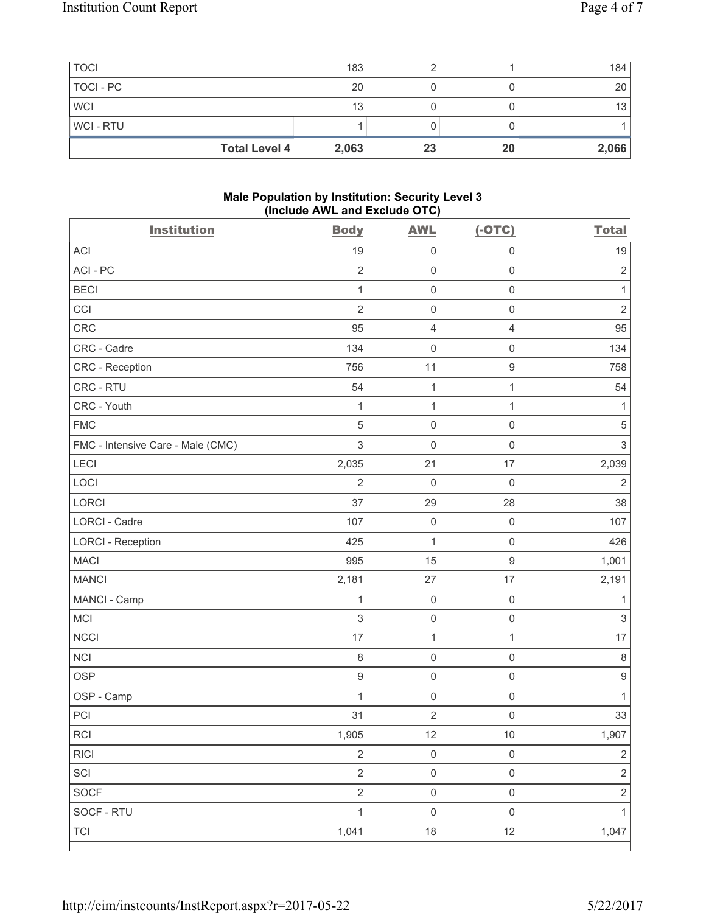| <b>TOCI</b>    |                      | 183   |    |    | 184   |
|----------------|----------------------|-------|----|----|-------|
| TOCI - PC      |                      | 20    |    |    | 20    |
| <b>WCI</b>     |                      | 13    |    |    | 13    |
| <b>WCI-RTU</b> |                      |       |    |    |       |
|                | <b>Total Level 4</b> | 2,063 | 23 | 20 | 2,066 |

### **Male Population by Institution: Security Level 3 (Include AWL and Exclude OTC)**

| <b>Institution</b>                | <b>Body</b>    | <b>AWL</b>          | $(-OTC)$            | <b>Total</b>              |
|-----------------------------------|----------------|---------------------|---------------------|---------------------------|
| <b>ACI</b>                        | 19             | $\mathsf{O}\xspace$ | $\mathbf 0$         | 19                        |
| ACI - PC                          | $\overline{2}$ | $\mathsf 0$         | $\mathsf 0$         | $\sqrt{2}$                |
| <b>BECI</b>                       | $\mathbf{1}$   | $\mathsf{O}\xspace$ | $\mathsf 0$         | $\mathbf{1}$              |
| CCI                               | $\overline{2}$ | $\mathbf 0$         | $\mathsf 0$         | $\overline{2}$            |
| CRC                               | 95             | $\overline{4}$      | $\overline{4}$      | 95                        |
| CRC - Cadre                       | 134            | $\mathsf{O}\xspace$ | $\mathsf{O}\xspace$ | 134                       |
| CRC - Reception                   | 756            | 11                  | $\boldsymbol{9}$    | 758                       |
| CRC - RTU                         | 54             | $\mathbf{1}$        | $\mathbf{1}$        | 54                        |
| CRC - Youth                       | $\mathbf{1}$   | $\mathbf{1}$        | $\mathbf{1}$        | $\mathbf{1}$              |
| <b>FMC</b>                        | $\overline{5}$ | $\mathsf{O}\xspace$ | $\mathsf 0$         | $\sqrt{5}$                |
| FMC - Intensive Care - Male (CMC) | $\mathfrak{S}$ | $\mathsf{O}\xspace$ | $\mathsf 0$         | $\mathsf 3$               |
| LECI                              | 2,035          | 21                  | 17                  | 2,039                     |
| LOCI                              | $\overline{2}$ | $\mathbf 0$         | $\mathsf{O}\xspace$ | $\overline{2}$            |
| LORCI                             | 37             | 29                  | 28                  | 38                        |
| <b>LORCI - Cadre</b>              | 107            | $\mathsf{O}\xspace$ | $\mathsf 0$         | 107                       |
| <b>LORCI - Reception</b>          | 425            | $\mathbf{1}$        | $\mathsf 0$         | 426                       |
| <b>MACI</b>                       | 995            | 15                  | $\boldsymbol{9}$    | 1,001                     |
| <b>MANCI</b>                      | 2,181          | 27                  | 17                  | 2,191                     |
| MANCI - Camp                      | $\mathbf 1$    | $\mathsf{O}\xspace$ | $\mathsf 0$         | 1                         |
| MCI                               | 3              | $\mathsf 0$         | $\mathsf 0$         | $\ensuremath{\mathsf{3}}$ |
| <b>NCCI</b>                       | 17             | 1                   | $\mathbf{1}$        | 17                        |
| <b>NCI</b>                        | $\,8\,$        | $\mathsf 0$         | $\mathsf 0$         | $\,8\,$                   |
| <b>OSP</b>                        | $\hbox{9}$     | $\mathsf{O}\xspace$ | $\mathsf 0$         | $\boldsymbol{9}$          |
| OSP - Camp                        | $\mathbf{1}$   | $\mathsf{O}\xspace$ | $\mathsf 0$         | $\mathbf{1}$              |
| PCI                               | 31             | $\sqrt{2}$          | $\mathsf 0$         | 33                        |
| RCI                               | 1,905          | 12                  | $10\,$              | 1,907                     |
| <b>RICI</b>                       | $\overline{2}$ | $\mathsf{O}\xspace$ | $\mathsf 0$         | $\overline{2}$            |
| SCI                               | $\overline{2}$ | $\mathsf{O}\xspace$ | $\mathsf 0$         | $\overline{2}$            |
| SOCF                              | $\overline{2}$ | $\mathsf{O}\xspace$ | $\mathsf{O}\xspace$ | $\overline{2}$            |
| SOCF - RTU                        | $\mathbf{1}$   | $\mathsf{O}\xspace$ | $\mathsf{O}\xspace$ | $\mathbf{1}$              |
| <b>TCI</b>                        | 1,041          | 18                  | 12                  | 1,047                     |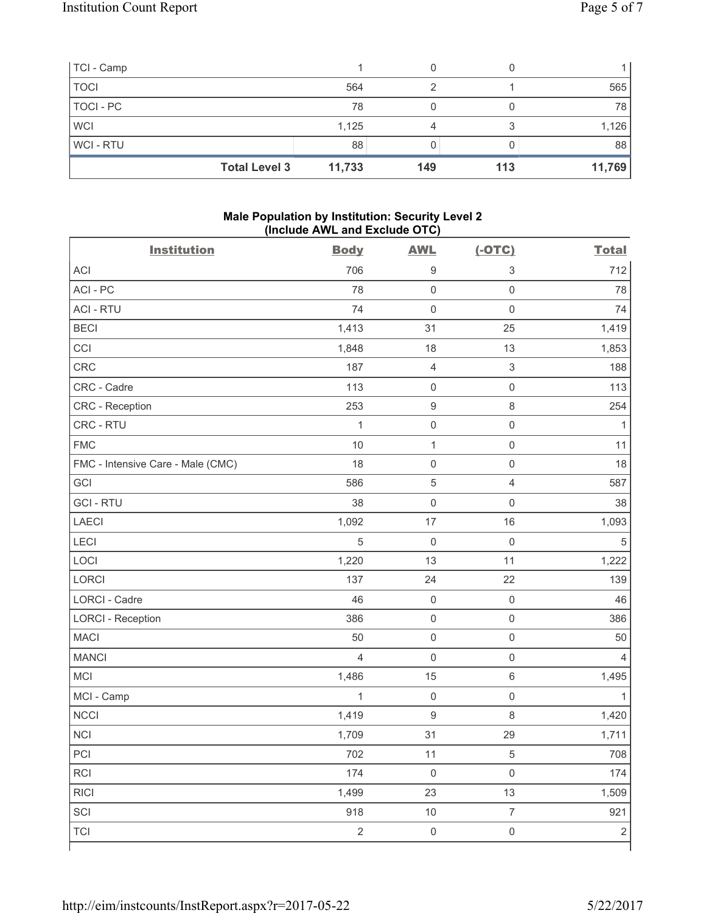| TCI - Camp  |                      |        |     |     |        |
|-------------|----------------------|--------|-----|-----|--------|
| <b>TOCI</b> |                      | 564    | ◠   |     | 565    |
| TOCI - PC   |                      | 78     |     |     | 78     |
| <b>WCI</b>  |                      | 1,125  |     |     | 1,126  |
| WCI-RTU     |                      | 88     |     |     | 88     |
|             | <b>Total Level 3</b> | 11,733 | 149 | 113 | 11,769 |

## **Male Population by Institution: Security Level 2 (Include AWL and Exclude OTC)**

| <b>Institution</b>                | <b>Body</b>    | <b>AWL</b>          | $(-OTC)$            | <b>Total</b>   |
|-----------------------------------|----------------|---------------------|---------------------|----------------|
| <b>ACI</b>                        | 706            | $\boldsymbol{9}$    | $\sqrt{3}$          | 712            |
| ACI-PC                            | 78             | $\mathbf 0$         | $\mathbf 0$         | 78             |
| <b>ACI - RTU</b>                  | 74             | $\mathbf 0$         | $\mathsf 0$         | 74             |
| <b>BECI</b>                       | 1,413          | 31                  | 25                  | 1,419          |
| CCI                               | 1,848          | 18                  | 13                  | 1,853          |
| CRC                               | 187            | $\overline{4}$      | $\mathsf 3$         | 188            |
| CRC - Cadre                       | 113            | $\mathsf{O}\xspace$ | $\mathsf 0$         | 113            |
| CRC - Reception                   | 253            | $\boldsymbol{9}$    | $\,8\,$             | 254            |
| CRC - RTU                         | $\mathbf{1}$   | $\mathsf{O}\xspace$ | $\mathsf 0$         | 1              |
| <b>FMC</b>                        | 10             | $\mathbf{1}$        | $\mathsf 0$         | 11             |
| FMC - Intensive Care - Male (CMC) | 18             | $\mathsf{O}\xspace$ | $\mathsf{O}\xspace$ | 18             |
| GCI                               | 586            | $\sqrt{5}$          | $\overline{4}$      | 587            |
| <b>GCI-RTU</b>                    | 38             | $\mathsf{O}\xspace$ | $\mathsf{O}\xspace$ | 38             |
| <b>LAECI</b>                      | 1,092          | 17                  | 16                  | 1,093          |
| LECI                              | 5              | $\mathbf 0$         | $\mathsf{O}\xspace$ | $\sqrt{5}$     |
| LOCI                              | 1,220          | 13                  | 11                  | 1,222          |
| LORCI                             | 137            | 24                  | 22                  | 139            |
| LORCI - Cadre                     | 46             | $\mathsf{O}\xspace$ | $\mathsf{O}\xspace$ | 46             |
| <b>LORCI - Reception</b>          | 386            | $\mathsf{O}\xspace$ | $\mathsf 0$         | 386            |
| <b>MACI</b>                       | 50             | $\mathsf{O}\xspace$ | $\mathsf{O}\xspace$ | 50             |
| <b>MANCI</b>                      | $\overline{4}$ | $\mathsf{O}\xspace$ | $\mathsf 0$         | $\overline{4}$ |
| MCI                               | 1,486          | 15                  | $\,6\,$             | 1,495          |
| MCI - Camp                        | $\mathbf{1}$   | $\mathsf{O}\xspace$ | $\mathsf{O}\xspace$ | 1              |
| <b>NCCI</b>                       | 1,419          | $\boldsymbol{9}$    | 8                   | 1,420          |
| <b>NCI</b>                        | 1,709          | 31                  | 29                  | 1,711          |
| PCI                               | 702            | $11$                | $\,$ 5 $\,$         | 708            |
| RCI                               | 174            | $\mathsf 0$         | $\mathsf{O}\xspace$ | 174            |
| <b>RICI</b>                       | 1,499          | 23                  | 13                  | 1,509          |
| SCI                               | 918            | $10$                | $\overline{7}$      | 921            |
| <b>TCI</b>                        | $\overline{2}$ | $\mathsf{O}\xspace$ | $\mathsf{O}\xspace$ | $\sqrt{2}$     |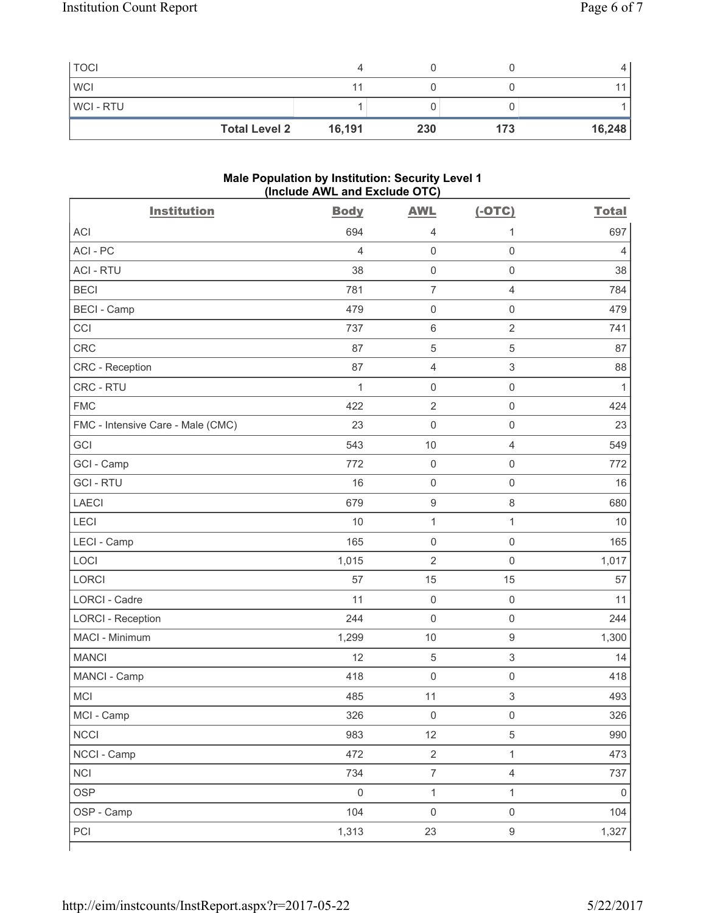| <b>TOCI</b>          |        |     |     |        |
|----------------------|--------|-----|-----|--------|
| <b>WCI</b>           |        |     |     |        |
| <b>WCI-RTU</b>       |        |     |     |        |
| <b>Total Level 2</b> | 16,191 | 230 | 173 | 16,248 |

#### **Male Population by Institution: Security Level 1 (Include AWL and Exclude OTC)**

| <b>Institution</b>                | <b>Body</b>    | <b>AWL</b>          | $(-OTC)$            | <b>Total</b> |
|-----------------------------------|----------------|---------------------|---------------------|--------------|
| <b>ACI</b>                        | 694            | $\overline{4}$      | 1                   | 697          |
| ACI - PC                          | $\overline{4}$ | $\mathsf 0$         | $\mathsf 0$         | 4            |
| <b>ACI - RTU</b>                  | 38             | $\mathbf 0$         | $\mathsf 0$         | 38           |
| <b>BECI</b>                       | 781            | $\overline{7}$      | $\overline{4}$      | 784          |
| <b>BECI - Camp</b>                | 479            | $\mathsf 0$         | $\mathbf 0$         | 479          |
| CCI                               | 737            | $\,6\,$             | $\overline{2}$      | 741          |
| <b>CRC</b>                        | 87             | $\,$ 5 $\,$         | $\sqrt{5}$          | 87           |
| CRC - Reception                   | 87             | $\overline{4}$      | $\mathsf 3$         | 88           |
| CRC - RTU                         | $\mathbf{1}$   | $\mathsf{O}\xspace$ | $\mathsf{O}\xspace$ | $\mathbf{1}$ |
| <b>FMC</b>                        | 422            | $\overline{2}$      | $\mathsf 0$         | 424          |
| FMC - Intensive Care - Male (CMC) | 23             | $\mathsf{O}\xspace$ | $\mathsf 0$         | 23           |
| GCI                               | 543            | 10                  | $\overline{4}$      | 549          |
| GCI - Camp                        | 772            | $\mathsf{O}\xspace$ | $\mathbf 0$         | 772          |
| <b>GCI-RTU</b>                    | 16             | $\mathsf 0$         | $\mathsf{O}\xspace$ | 16           |
| <b>LAECI</b>                      | 679            | $\boldsymbol{9}$    | $\,8\,$             | 680          |
| LECI                              | 10             | $\mathbf{1}$        | $\mathbf{1}$        | 10           |
| LECI - Camp                       | 165            | $\mathsf 0$         | $\mathsf{O}\xspace$ | 165          |
| LOCI                              | 1,015          | $\overline{2}$      | $\mathbf 0$         | 1,017        |
| <b>LORCI</b>                      | 57             | 15                  | 15                  | 57           |
| LORCI - Cadre                     | 11             | $\mathbf 0$         | $\mathsf 0$         | 11           |
| <b>LORCI - Reception</b>          | 244            | $\mathsf{O}\xspace$ | $\mathsf 0$         | 244          |
| MACI - Minimum                    | 1,299          | $10$                | $\boldsymbol{9}$    | 1,300        |
| <b>MANCI</b>                      | 12             | $\sqrt{5}$          | $\mathsf 3$         | 14           |
| MANCI - Camp                      | 418            | $\mathsf 0$         | $\mathbf 0$         | 418          |
| MCI                               | 485            | 11                  | 3                   | 493          |
| MCI - Camp                        | 326            | $\mathsf{O}\xspace$ | $\mathsf{O}\xspace$ | 326          |
| <b>NCCI</b>                       | 983            | 12                  | $\,$ 5 $\,$         | 990          |
| NCCI - Camp                       | 472            | $\overline{2}$      | $\mathbf{1}$        | 473          |
| <b>NCI</b>                        | 734            | $\overline{7}$      | $\overline{4}$      | 737          |
| <b>OSP</b>                        | $\mathbf 0$    | $\mathbf{1}$        | $\mathbf{1}$        | $\mathbf 0$  |
| OSP - Camp                        | 104            | $\mathsf{O}\xspace$ | $\mathsf 0$         | 104          |
| PCI                               | 1,313          | 23                  | $\boldsymbol{9}$    | 1,327        |